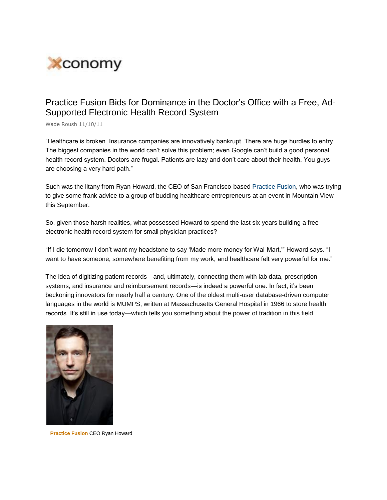

## Practice Fusion Bids for Dominance in the Doctor"s Office with a Free, Ad-Supported Electronic Health Record System

Wade Roush 11/10/11

"Healthcare is broken. Insurance companies are innovatively bankrupt. There are huge hurdles to entry. The biggest companies in the world can"t solve this problem; even Google can"t build a good personal health record system. Doctors are frugal. Patients are lazy and don"t care about their health. You guys are choosing a very hard path."

Such was the litany from Ryan Howard, the CEO of San Francisco-based Practice Fusion, who was trying to give some frank advice to a group of budding healthcare entrepreneurs at an event in Mountain View this September.

So, given those harsh realities, what possessed Howard to spend the last six years building a free electronic health record system for small physician practices?

"If I die tomorrow I don"t want my headstone to say "Made more money for Wal-Mart,"" Howard says. "I want to have someone, somewhere benefiting from my work, and healthcare felt very powerful for me."

The idea of digitizing patient records—and, ultimately, connecting them with lab data, prescription systems, and insurance and reimbursement records—is indeed a powerful one. In fact, it's been beckoning innovators for nearly half a century. One of the oldest multi-user database-driven computer languages in the world is MUMPS, written at Massachusetts General Hospital in 1966 to store health records. It's still in use today—which tells you something about the power of tradition in this field.



**Practice Fusion** CEO Ryan Howard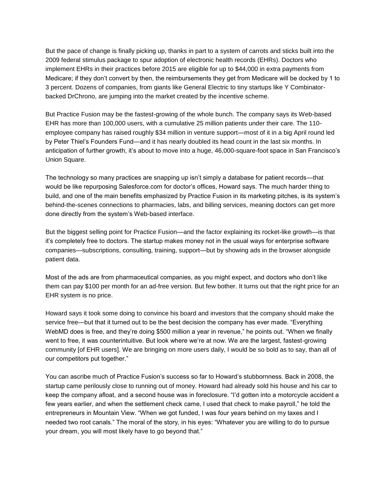But the pace of change is finally picking up, thanks in part to a system of carrots and sticks built into the 2009 federal stimulus package to spur adoption of electronic health records (EHRs). Doctors who implement EHRs in their practices before 2015 are eligible for up to \$44,000 in extra payments from Medicare; if they don"t convert by then, the reimbursements they get from Medicare will be docked by 1 to 3 percent. Dozens of companies, from giants like General Electric to tiny startups like Y Combinatorbacked DrChrono, are jumping into the market created by the incentive scheme.

But Practice Fusion may be the fastest-growing of the whole bunch. The company says its Web-based EHR has more than 100,000 users, with a cumulative 25 million patients under their care. The 110 employee company has raised roughly \$34 million in venture support—most of it in a big April round led by Peter Thiel"s Founders Fund—and it has nearly doubled its head count in the last six months. In anticipation of further growth, it's about to move into a huge, 46,000-square-foot space in San Francisco's Union Square.

The technology so many practices are snapping up isn't simply a database for patient records—that would be like repurposing Salesforce.com for doctor's offices, Howard says. The much harder thing to build, and one of the main benefits emphasized by Practice Fusion in its marketing pitches, is its system"s behind-the-scenes connections to pharmacies, labs, and billing services, meaning doctors can get more done directly from the system"s Web-based interface.

But the biggest selling point for Practice Fusion—and the factor explaining its rocket-like growth—is that it"s completely free to doctors. The startup makes money not in the usual ways for enterprise software companies—subscriptions, consulting, training, support—but by showing ads in the browser alongside patient data.

Most of the ads are from pharmaceutical companies, as you might expect, and doctors who don"t like them can pay \$100 per month for an ad-free version. But few bother. It turns out that the right price for an EHR system is no price.

Howard says it took some doing to convince his board and investors that the company should make the service free—but that it turned out to be the best decision the company has ever made. "Everything WebMD does is free, and they're doing \$500 million a year in revenue," he points out. "When we finally went to free, it was counterintuitive. But look where we"re at now. We are the largest, fastest-growing community [of EHR users]. We are bringing on more users daily, I would be so bold as to say, than all of our competitors put together."

You can ascribe much of Practice Fusion"s success so far to Howard"s stubbornness. Back in 2008, the startup came perilously close to running out of money. Howard had already sold his house and his car to keep the company afloat, and a second house was in foreclosure. "I"d gotten into a motorcycle accident a few years earlier, and when the settlement check came, I used that check to make payroll," he told the entrepreneurs in Mountain View. "When we got funded, I was four years behind on my taxes and I needed two root canals." The moral of the story, in his eyes: "Whatever you are willing to do to pursue your dream, you will most likely have to go beyond that."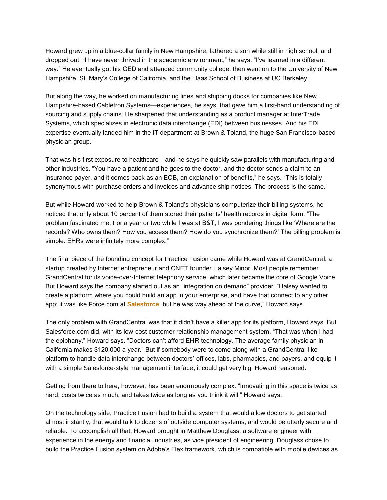Howard grew up in a blue-collar family in New Hampshire, fathered a son while still in high school, and dropped out. "I have never thrived in the academic environment," he says. "I"ve learned in a different way." He eventually got his GED and attended community college, then went on to the University of New Hampshire, St. Mary"s College of California, and the Haas School of Business at UC Berkeley.

But along the way, he worked on manufacturing lines and shipping docks for companies like New Hampshire-based Cabletron Systems—experiences, he says, that gave him a first-hand understanding of sourcing and supply chains. He sharpened that understanding as a product manager at InterTrade Systems, which specializes in electronic data interchange (EDI) between businesses. And his EDI expertise eventually landed him in the IT department at Brown & Toland, the huge San Francisco-based physician group.

That was his first exposure to healthcare—and he says he quickly saw parallels with manufacturing and other industries. "You have a patient and he goes to the doctor, and the doctor sends a claim to an insurance payer, and it comes back as an EOB, an explanation of benefits," he says. "This is totally synonymous with purchase orders and invoices and advance ship notices. The process is the same."

But while Howard worked to help Brown & Toland"s physicians computerize their billing systems, he noticed that only about 10 percent of them stored their patients" health records in digital form. "The problem fascinated me. For a year or two while I was at B&T, I was pondering things like "Where are the records? Who owns them? How you access them? How do you synchronize them?" The billing problem is simple. EHRs were infinitely more complex."

The final piece of the founding concept for Practice Fusion came while Howard was at GrandCentral, a startup created by Internet entrepreneur and CNET founder Halsey Minor. Most people remember GrandCentral for its voice-over-Internet telephony service, which later became the core of Google Voice. But Howard says the company started out as an "integration on demand" provider. "Halsey wanted to create a platform where you could build an app in your enterprise, and have that connect to any other app; it was like Force.com at **Salesforce**, but he was way ahead of the curve," Howard says.

The only problem with GrandCentral was that it didn"t have a killer app for its platform, Howard says. But Salesforce.com did, with its low-cost customer relationship management system. "That was when I had the epiphany," Howard says. "Doctors can"t afford EHR technology. The average family physician in California makes \$120,000 a year." But if somebody were to come along with a GrandCentral-like platform to handle data interchange between doctors" offices, labs, pharmacies, and payers, and equip it with a simple Salesforce-style management interface, it could get very big, Howard reasoned.

Getting from there to here, however, has been enormously complex. "Innovating in this space is twice as hard, costs twice as much, and takes twice as long as you think it will," Howard says.

On the technology side, Practice Fusion had to build a system that would allow doctors to get started almost instantly, that would talk to dozens of outside computer systems, and would be utterly secure and reliable. To accomplish all that, Howard brought in Matthew Douglass, a software engineer with experience in the energy and financial industries, as vice president of engineering. Douglass chose to build the Practice Fusion system on Adobe"s Flex framework, which is compatible with mobile devices as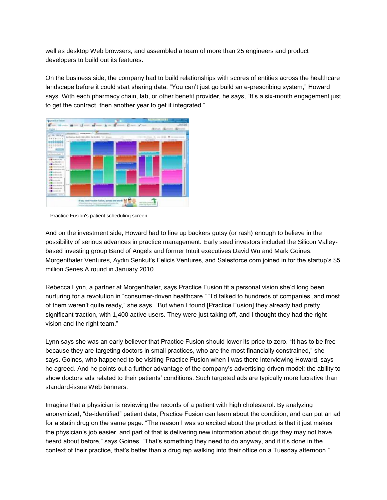well as desktop Web browsers, and assembled a team of more than 25 engineers and product developers to build out its features.

On the business side, the company had to build relationships with scores of entities across the healthcare landscape before it could start sharing data. "You can"t just go build an e-prescribing system," Howard says. With each pharmacy chain, lab, or other benefit provider, he says, "It's a six-month engagement just to get the contract, then another year to get it integrated."



Practice Fusion's patient scheduling screen

And on the investment side, Howard had to line up backers gutsy (or rash) enough to believe in the possibility of serious advances in practice management. Early seed investors included the Silicon Valleybased investing group Band of Angels and former Intuit executives David Wu and Mark Goines. Morgenthaler Ventures, Aydin Senkut's Felicis Ventures, and Salesforce.com joined in for the startup's \$5 million Series A round in January 2010.

Rebecca Lynn, a partner at Morgenthaler, says Practice Fusion fit a personal vision she"d long been nurturing for a revolution in "consumer-driven healthcare." "I"d talked to hundreds of companies ,and most of them weren"t quite ready," she says. "But when I found [Practice Fusion] they already had pretty significant traction, with 1,400 active users. They were just taking off, and I thought they had the right vision and the right team."

Lynn says she was an early believer that Practice Fusion should lower its price to zero. "It has to be free because they are targeting doctors in small practices, who are the most financially constrained," she says. Goines, who happened to be visiting Practice Fusion when I was there interviewing Howard, says he agreed. And he points out a further advantage of the company"s advertising-driven model: the ability to show doctors ads related to their patients" conditions. Such targeted ads are typically more lucrative than standard-issue Web banners.

Imagine that a physician is reviewing the records of a patient with high cholesterol. By analyzing anonymized, "de-identified" patient data, Practice Fusion can learn about the condition, and can put an ad for a statin drug on the same page. "The reason I was so excited about the product is that it just makes the physician"s job easier, and part of that is delivering new information about drugs they may not have heard about before," says Goines. "That's something they need to do anyway, and if it's done in the context of their practice, that's better than a drug rep walking into their office on a Tuesday afternoon."